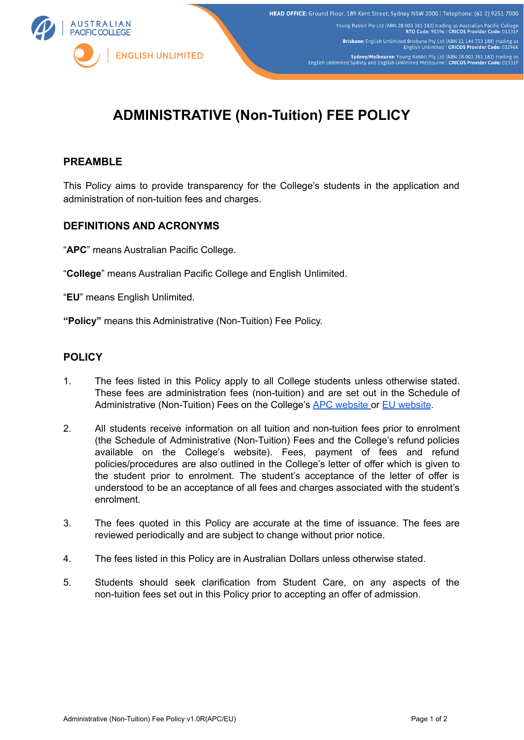

Young Rabbit Pty Ltd (ABN 28 003 381 182) trading as Australian Pacific College<br>RTO Code: 90396 | CRICOS Provider Code: 01331F

Brisbane: English Unlimited Brisbane Pty Ltd (ABN 11 144 733 188) trading as<br>English Unlimited | CRICOS Provider Code: 03296

Sydney/Melbourne: Young Rabbit Pty Ltd (ABN 28 003 381 182) trading as<br>English Unlimited Sydney and English Unlimited Melbourne | CRICOS Provider Code: 01331F

# **ADMINISTRATIVE (Non-Tuition) FEE POLICY**

## **PREAMBLE**

This Policy aims to provide transparency for the College's students in the application and administration of non-tuition fees and charges.

## **DEFINITIONS AND ACRONYMS**

"**APC**" means Australian Pacific College.

"**College**" means Australian Pacific College and English Unlimited.

"**EU**" means English Unlimited.

**"Policy"** means this Administrative (Non-Tuition) Fee Policy.

## **POLICY**

- 1. The fees listed in this Policy apply to all College students unless otherwise stated. These fees are administration fees (non-tuition) and are set out in the Schedule of Administrative (Non-Tuition) Fees on the College's APC [website](https://apc.edu.au/applications/policies-forms-and-downloads/#college-policies) or EU [website](https://eu.edu.au/applications/forms-and-downloads/#policies-and-procedures).
- 2. All students receive information on all tuition and non-tuition fees prior to enrolment (the Schedule of Administrative (Non-Tuition) Fees and the College's refund policies available on the College's website). Fees, payment of fees and refund policies/procedures are also outlined in the College's letter of offer which is given to the student prior to enrolment. The student's acceptance of the letter of offer is understood to be an acceptance of all fees and charges associated with the student's enrolment.
- 3. The fees quoted in this Policy are accurate at the time of issuance. The fees are reviewed periodically and are subject to change without prior notice.
- 4. The fees listed in this Policy are in Australian Dollars unless otherwise stated.
- 5. Students should seek clarification from Student Care, on any aspects of the non-tuition fees set out in this Policy prior to accepting an offer of admission.